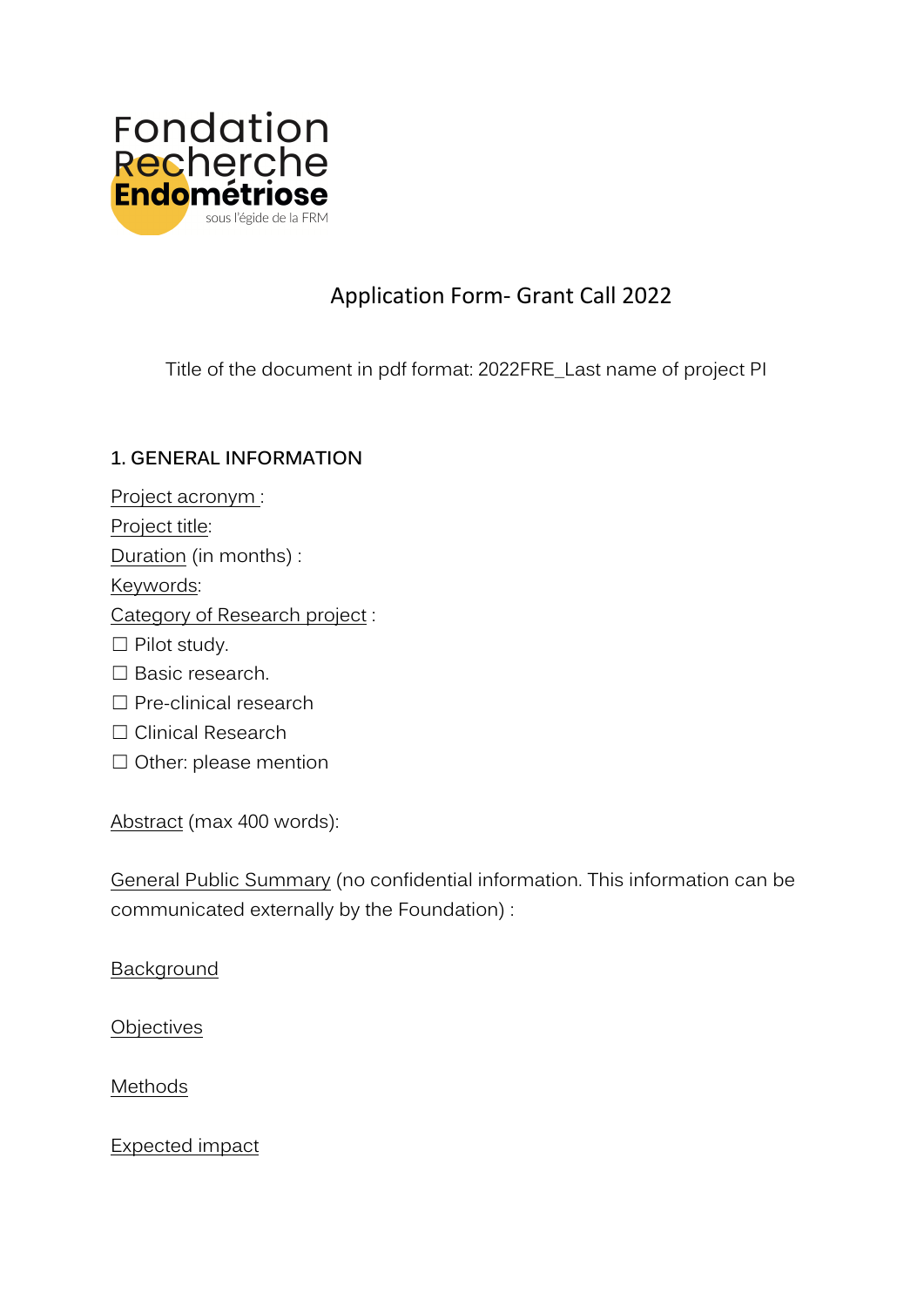

# Application Form- Grant Call 2022

Title of the document in pdf format: 2022FRE\_Last name of project PI

## **1. GENERAL INFORMATION**

- Project acronym:
- Project title:
- Duration (in months) :

Keywords:

- Category of Research project :
- ☐ Pilot study.
- □ Basic research.
- □ Pre-clinical research
- ☐ Clinical Research
- □ Other: please mention

Abstract (max 400 words):

General Public Summary (no confidential information. This information can be communicated externally by the Foundation) :

Background

**Objectives** 

Methods

Expected impact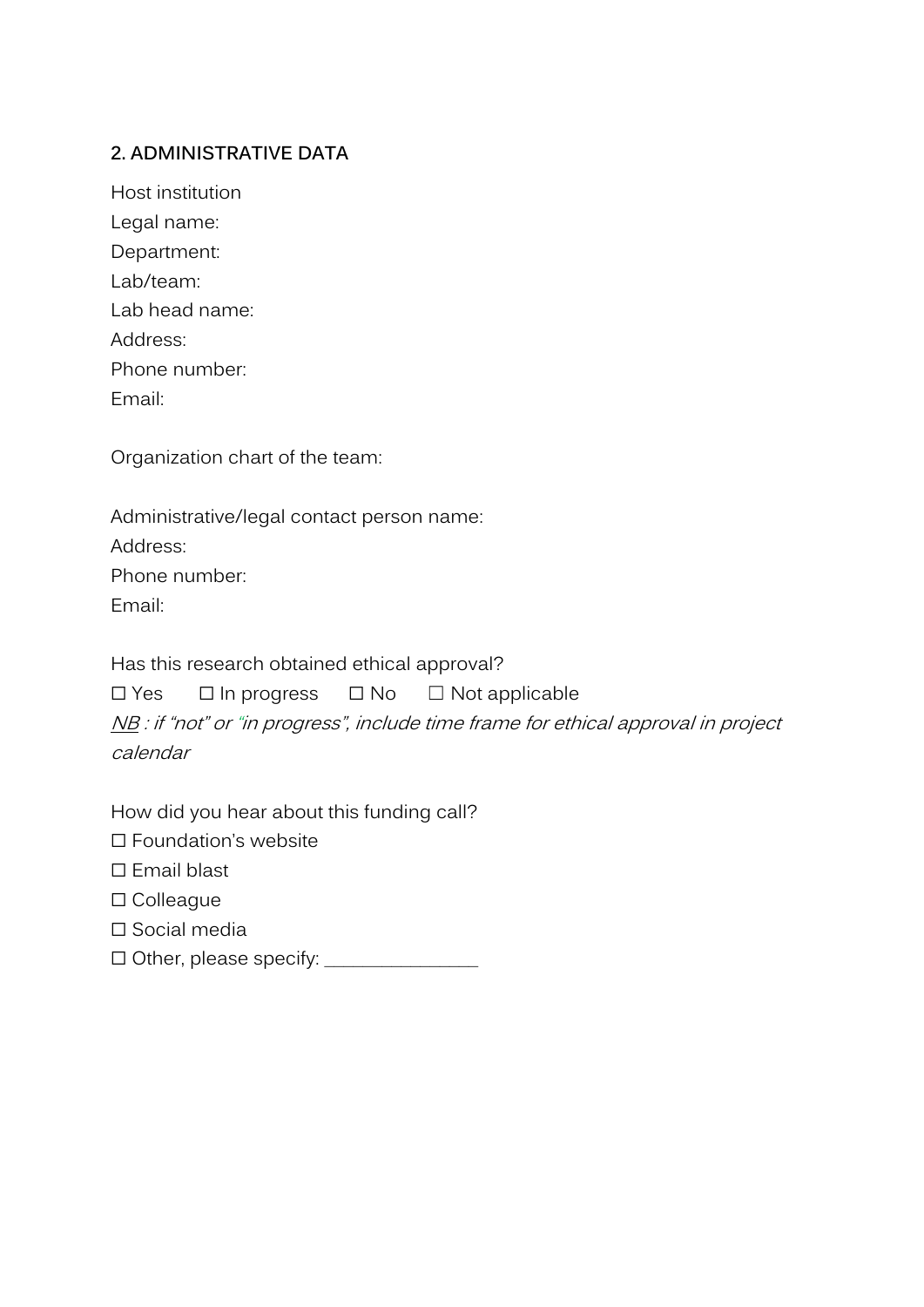#### **2. ADMINISTRATIVE DATA**

| Host institution |
|------------------|
| Legal name:      |
| Department:      |
| Lab/team:        |
| Lab head name:   |
| Address:         |
| Phone number:    |
| Fmail:           |

Organization chart of the team:

Administrative/legal contact person name: Address: Phone number: Email:

Has this research obtained ethical approval?

☐ Yes ☐ In progress ☐ No ☐ Not applicable

NB : if "not" or "in progress", include time frame for ethical approval in project calendar

How did you hear about this funding call?

☐ Foundation's website

☐ Email blast

☐ Colleague

☐ Social media

☐ Other, please specify: \_\_\_\_\_\_\_\_\_\_\_\_\_\_\_\_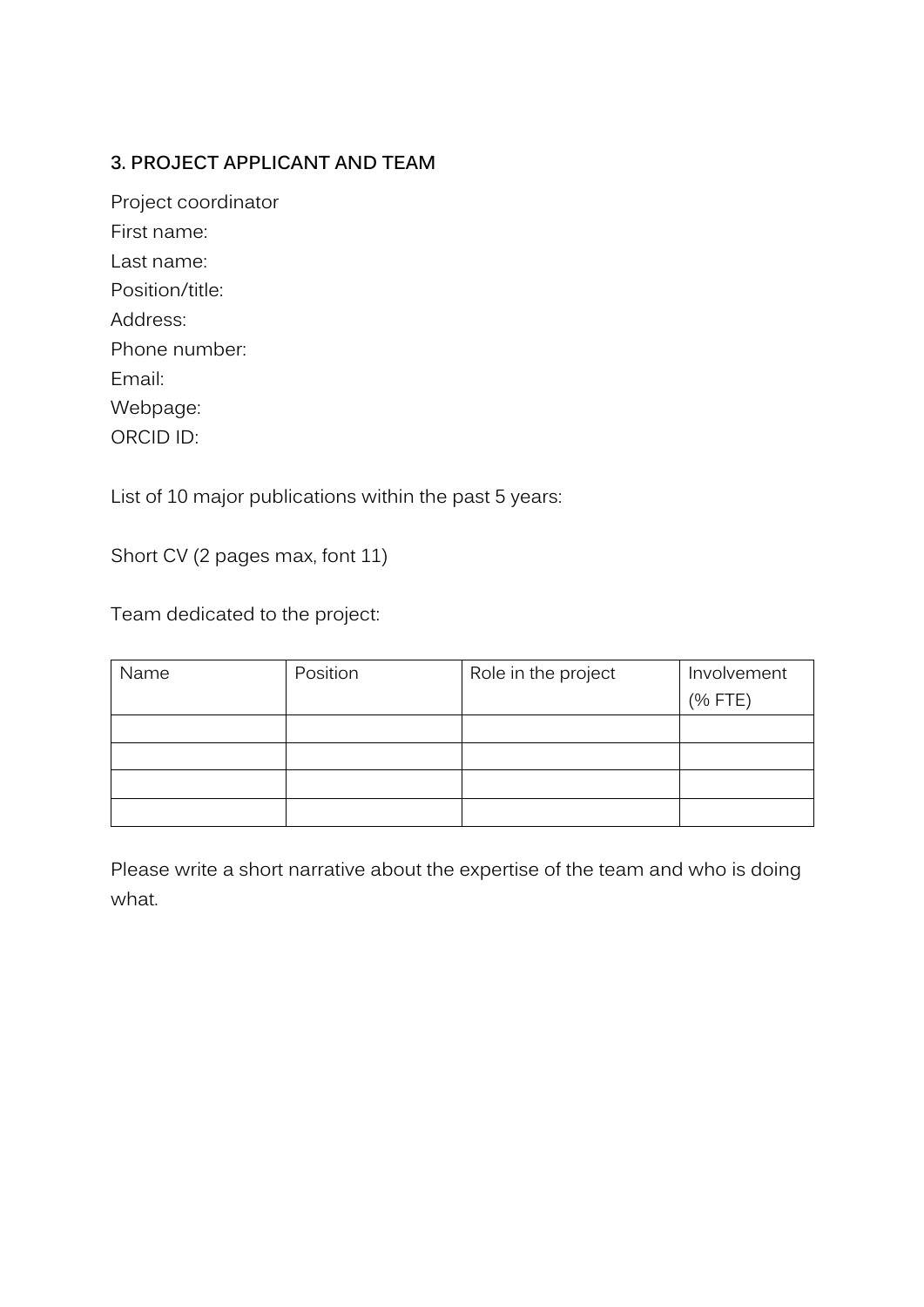## **3. PROJECT APPLICANT AND TEAM**

| Project coordinator |
|---------------------|
| First name:         |
| l ast name:         |
| Position/title:     |
| Address:            |
| Phone number:       |
| Fmail:              |
| Webpage:            |
| ORCID ID:           |

List of 10 major publications within the past 5 years:

Short CV (2 pages max, font 11)

Team dedicated to the project:

| Name | Position | Role in the project | Involvement |
|------|----------|---------------------|-------------|
|      |          |                     | (% FTE)     |
|      |          |                     |             |
|      |          |                     |             |
|      |          |                     |             |
|      |          |                     |             |

Please write a short narrative about the expertise of the team and who is doing what.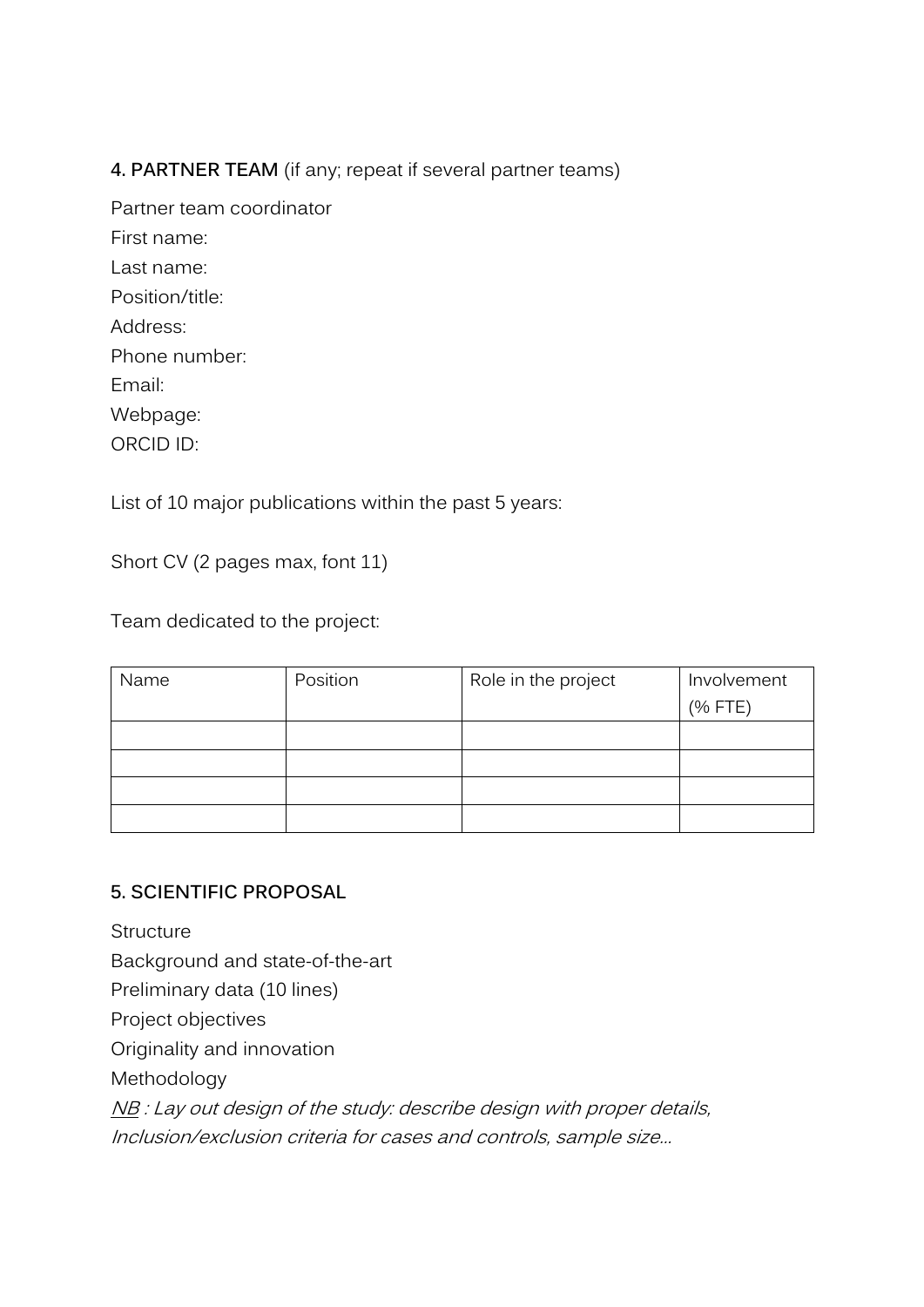## **4. PARTNER TEAM** (if any; repeat if several partner teams)

Partner team coordinator First name: Last name: Position/title: Address: Phone number: Email: Webpage: ORCID ID:

List of 10 major publications within the past 5 years:

Short CV (2 pages max, font 11)

Team dedicated to the project:

| Name | Position | Role in the project | Involvement |
|------|----------|---------------------|-------------|
|      |          |                     | (% FTE)     |
|      |          |                     |             |
|      |          |                     |             |
|      |          |                     |             |
|      |          |                     |             |

#### **5. SCIENTIFIC PROPOSAL**

**Structure** Background and state-of-the-art Preliminary data (10 lines) Project objectives Originality and innovation Methodology NB : Lay out design of the study: describe design with proper details, Inclusion/exclusion criteria for cases and controls, sample size…